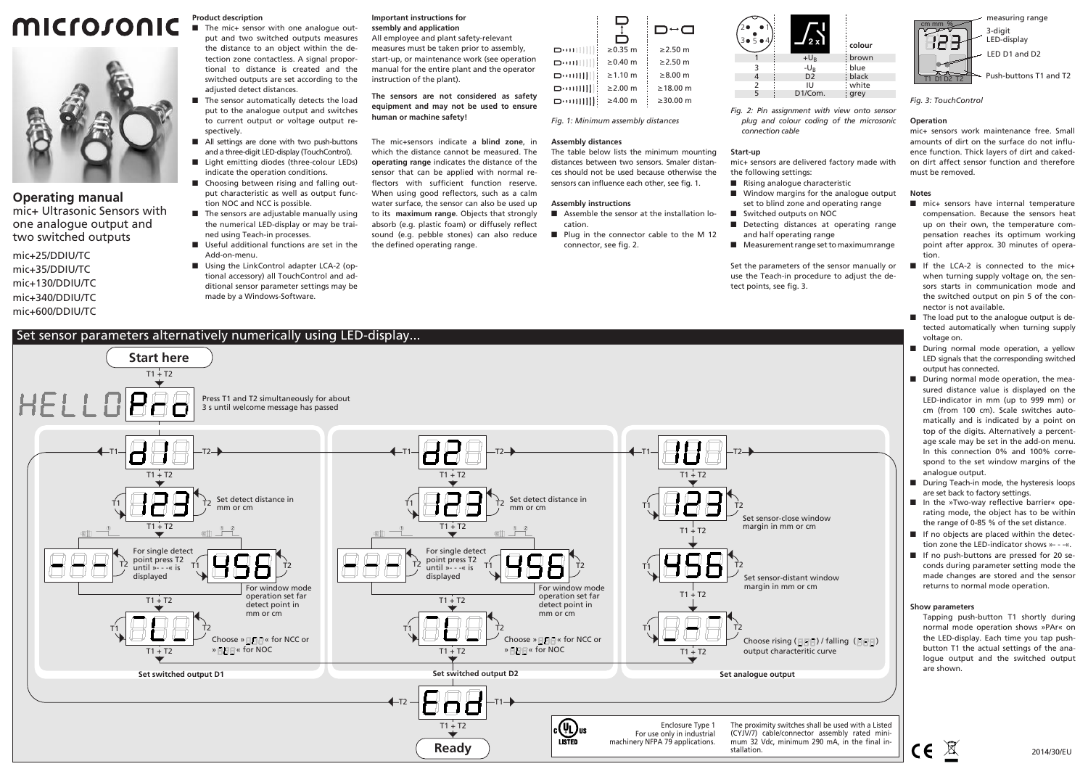# **MICrosonic**



#### **Operating manual**

mic+ Ultrasonic Sensors with one analogue output and two switched outputs

mic+25/DDIU/TC mic+35/DDIU/TC mic+130/DDIU/TC mic+340/DDIU/TC mic+600/DDIU/TC

# **Product description**

■ The mic+ sensor with one analogue output and two switched outputs measures the distance to an object within the detection zone contactless. A signal proportional to distance is created and the switched outputs are set according to the adjusted detect distances.

- The sensor automatically detects the load put to the analogue output and switches to current output or voltage output respectively.
- All settings are done with two push-buttons and a three-digit LED-display (TouchControl). ■ Light emitting diodes (three-colour LEDs)
- indicate the operation conditions. ■ Choosing between rising and falling output characteristic as well as output function NOC and NCC is possible.
- **The sensors are adjustable manually using** the numerical LED-display or may be trained using Teach-in processes.
- Useful additional functions are set in the Add-on-menu.
- Using the LinkControl adapter LCA-2 (optional accessory) all TouchControl and additional sensor parameter settings may be made by a Windows-Software.

#### **Important instructions for ssembly and application**

All employee and plant safety-relevant measures must be taken prior to assembly, start-up, or maintenance work (see operation manual for the entire plant and the operator instruction of the plant).

**The sensors are not considered as safety equipment and may not be used to ensure human or machine safety!**

The mic+sensors indicate a **blind zone**, in which the distance cannot be measured. The **operating range** indicates the distance of the sensor that can be applied with normal reflectors with sufficient function reserve. When using good reflectors, such as a calm water surface, the sensor can also be used up to its **maximum range**. Objects that strongly absorb (e.g. plastic foam) or diffusely reflect sound (e.g. pebble stones) can also reduce the defined operating range.



*Fig. 1: Minimum assembly distances*

#### **Assembly distances**

The table below lists the minimum mounting distances between two sensors. Smaler distances should not be used because otherwise the sensors can influence each other, see fig. 1.

#### **Assembly instructions**

■ Assemble the sensor at the installation location. - Plug in the connector cable to the M 12 connector, see fig. 2.



*Fig. 2: Pin assignment with view onto sensor plug and colour coding of the microsonic connection cable*

#### **Start-up**

mic+ sensors are delivered factory made with the following settings:

- Rising analogue characteristic
- Window margins for the analogue output set to blind zone and operating range
- Switched outputs on NOC
- **Detecting distances at operating range** and half operating range
- Measurement range set to maximumrange

Set the parameters of the sensor manually or use the Teach-in procedure to adjust the detect points, see fig. 3.



*Fig. 3: TouchControl*

#### **Operation**

mic+ sensors work maintenance free. Small amounts of dirt on the surface do not influence function. Thick layers of dirt and cakedon dirt affect sensor function and therefore must be removed.

#### **Notes**

- $\blacksquare$  mic+ sensors have internal temperature compensation. Because the sensors heat up on their own, the temperature compensation reaches its optimum working point after approx. 30 minutes of operation.
- If the LCA-2 is connected to the mic+ when turning supply voltage on, the sensors starts in communication mode and the switched output on pin 5 of the connector is not available.
- The load put to the analogue output is detected automatically when turning supply voltage on.
- **During normal mode operation, a yellow** LED signals that the corresponding switched output has connected.
- **During normal mode operation, the mea**sured distance value is displayed on the LED-indicator in mm (up to 999 mm) or cm (from 100 cm). Scale switches automatically and is indicated by a point on top of the digits. Alternatively a percentage scale may be set in the add-on menu. In this connection 0% and 100% correspond to the set window margins of the analogue output.
- **During Teach-in mode, the hysteresis loops** are set back to factory settings.
- -In the »Two-way reflective barrier« operating mode, the object has to be within the range of 0-85 % of the set distance.
- If no objects are placed within the detection zone the LED-indicator shows »- - -«.
- If no push-buttons are pressed for 20 seconds during parameter setting mode the made changes are stored and the sensor returns to normal mode operation.

#### **Show parameters**

Tapping push-button T1 shortly during normal mode operation shows »PAr« on the LED-display. Each time you tap pushbutton T1 the actual settings of the analogue output and the switched output are shown.



## Set sensor parameters alternatively numerically using LED-display...

**Start here**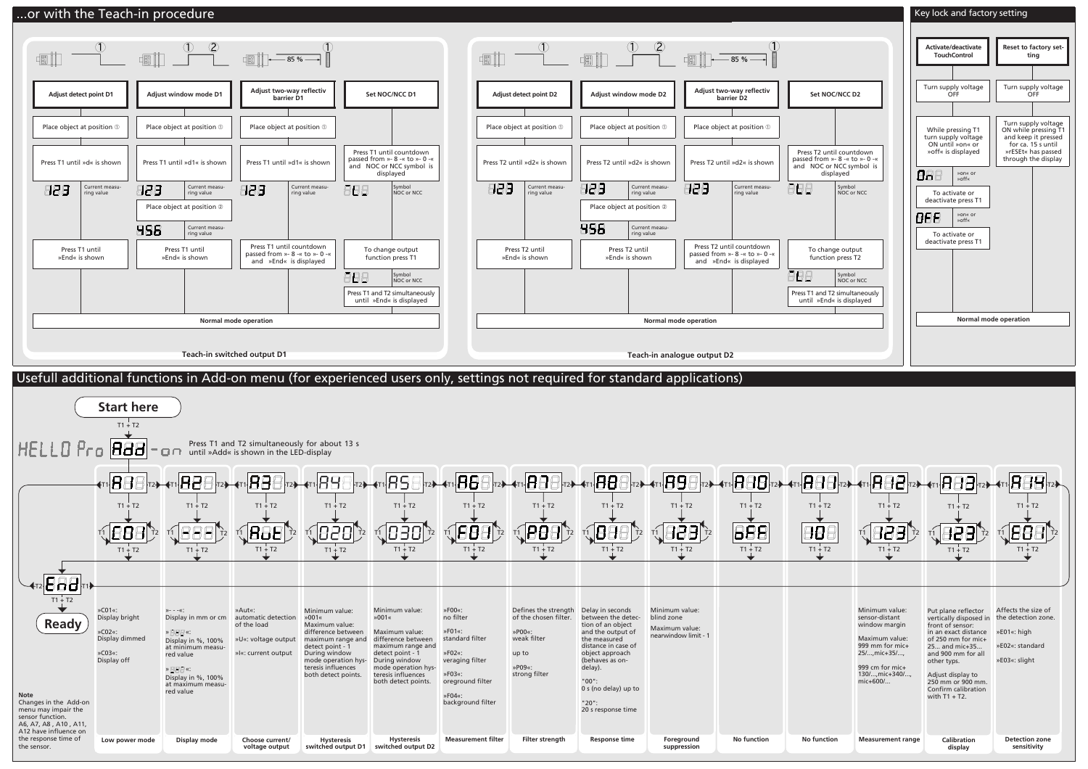